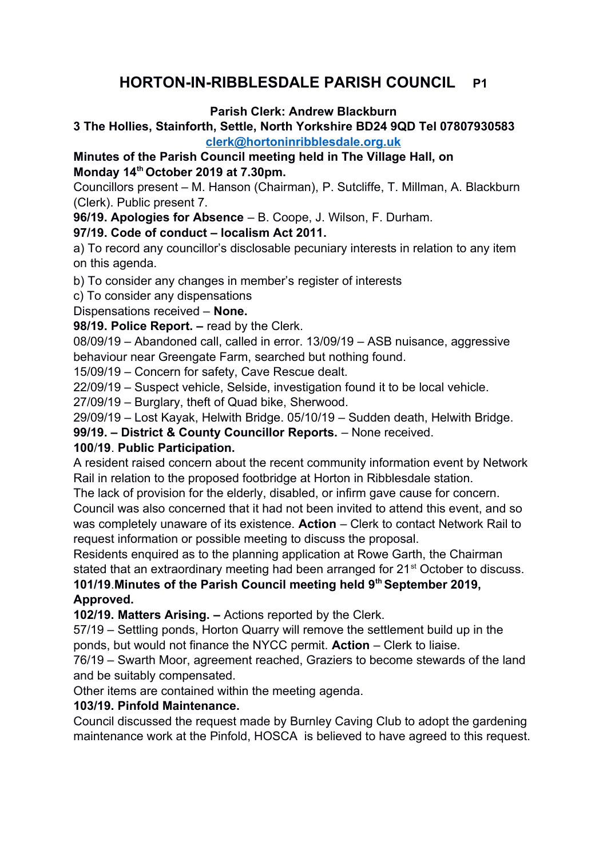# **HORTON-IN-RIBBLESDALE PARISH COUNCIL P1**

#### **Parish Clerk: Andrew Blackburn**

#### **3 The Hollies, Stainforth, Settle, North Yorkshire BD24 9QD Tel 07807930583 [clerk@hortoninribblesdale.org.uk](mailto:clerk@hortoninribblesdale.org.uk)**

#### **Minutes of the Parish Council meeting held in The Village Hall, on Monday 14th October 2019 at 7.30pm.**

Councillors present – M. Hanson (Chairman), P. Sutcliffe, T. Millman, A. Blackburn (Clerk). Public present 7.

**96/19. Apologies for Absence** – B. Coope, J. Wilson, F. Durham.

#### **97/19. Code of conduct – localism Act 2011.**

a) To record any councillor's disclosable pecuniary interests in relation to any item on this agenda.

b) To consider any changes in member's register of interests

c) To consider any dispensations

Dispensations received – **None.** 

**98/19. Police Report. –** read by the Clerk.

08/09/19 – Abandoned call, called in error. 13/09/19 – ASB nuisance, aggressive behaviour near Greengate Farm, searched but nothing found.

15/09/19 – Concern for safety, Cave Rescue dealt.

22/09/19 – Suspect vehicle, Selside, investigation found it to be local vehicle.

27/09/19 – Burglary, theft of Quad bike, Sherwood.

29/09/19 – Lost Kayak, Helwith Bridge. 05/10/19 – Sudden death, Helwith Bridge.

**99/19. – District & County Councillor Reports.** – None received.

#### **100**/**19**. **Public Participation.**

A resident raised concern about the recent community information event by Network Rail in relation to the proposed footbridge at Horton in Ribblesdale station.

The lack of provision for the elderly, disabled, or infirm gave cause for concern. Council was also concerned that it had not been invited to attend this event, and so

was completely unaware of its existence. **Action** – Clerk to contact Network Rail to request information or possible meeting to discuss the proposal.

Residents enquired as to the planning application at Rowe Garth, the Chairman stated that an extraordinary meeting had been arranged for 21<sup>st</sup> October to discuss. **101/19**.**Minutes of the Parish Council meeting held 9th September 2019,** 

**Approved.** 

**102/19. Matters Arising. –** Actions reported by the Clerk.

57/19 – Settling ponds, Horton Quarry will remove the settlement build up in the ponds, but would not finance the NYCC permit. **Action** – Clerk to liaise.

76/19 – Swarth Moor, agreement reached, Graziers to become stewards of the land and be suitably compensated.

Other items are contained within the meeting agenda.

### **103/19. Pinfold Maintenance.**

Council discussed the request made by Burnley Caving Club to adopt the gardening maintenance work at the Pinfold, HOSCA is believed to have agreed to this request.